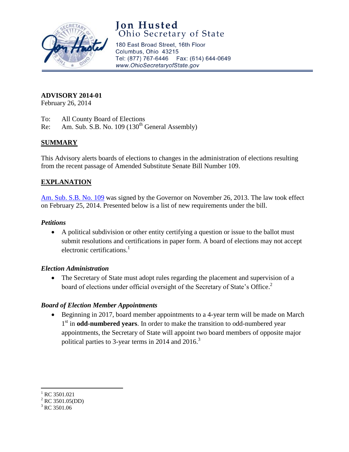

# **Jon Husted**<br>Ohio Secretary of State

180 East Broad Street, 16th Floor Columbus, Ohio 43215 Tel: (877) 767-6446 Fax: (614) 644-0649 www.OhioSecretaryofState.gov

## **ADVISORY 2014-01**

February 26, 2014

- To: All County Board of Elections
- Re: Am. Sub. S.B. No.  $109 (130<sup>th</sup> General Assembly)$

# **SUMMARY**

This Advisory alerts boards of elections to changes in the administration of elections resulting from the recent passage of Amended Substitute Senate Bill Number 109.

## **EXPLANATION**

[Am. Sub. S.B. No. 109](http://www.legislature.state.oh.us/bills.cfm?ID=130_SB_109) was signed by the Governor on November 26, 2013. The law took effect on February 25, 2014. Presented below is a list of new requirements under the bill.

#### *Petitions*

 A political subdivision or other entity certifying a question or issue to the ballot must submit resolutions and certifications in paper form. A board of elections may not accept electronic certifications.<sup>1</sup>

#### *Election Administration*

• The Secretary of State must adopt rules regarding the placement and supervision of a board of elections under official oversight of the Secretary of State's Office.<sup>2</sup>

#### *Board of Election Member Appointments*

 Beginning in 2017, board member appointments to a 4-year term will be made on March 1<sup>st</sup> in **odd-numbered years**. In order to make the transition to odd-numbered year appointments, the Secretary of State will appoint two board members of opposite major political parties to 3-year terms in 2014 and  $2016$ <sup>3</sup>

 $\overline{\phantom{a}}$  $^{1}$  RC 3501.021

 $^{2}$  RC 3501.05(DD)

 $3$  RC 3501.06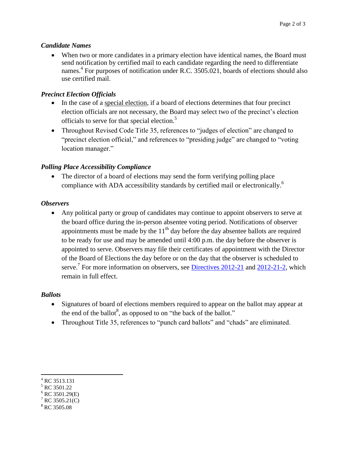#### *Candidate Names*

 When two or more candidates in a primary election have identical names, the Board must send notification by certified mail to each candidate regarding the need to differentiate names.<sup>4</sup> For purposes of notification under R.C. 3505.021, boards of elections should also use certified mail.

#### *Precinct Election Officials*

- In the case of a special election, if a board of elections determines that four precinct election officials are not necessary, the Board may select two of the precinct's election officials to serve for that special election.<sup>5</sup>
- Throughout Revised Code Title 35, references to "judges of election" are changed to "precinct election official," and references to "presiding judge" are changed to "voting location manager."

#### *Polling Place Accessibility Compliance*

 The director of a board of elections may send the form verifying polling place compliance with ADA accessibility standards by certified mail or electronically.<sup>6</sup>

#### *Observers*

 Any political party or group of candidates may continue to appoint observers to serve at the board office during the in-person absentee voting period. Notifications of observer appointments must be made by the  $11<sup>th</sup>$  day before the day absentee ballots are required to be ready for use and may be amended until 4:00 p.m. the day before the observer is appointed to serve. Observers may file their certificates of appointment with the Director of the Board of Elections the day before or on the day that the observer is scheduled to serve.<sup>7</sup> For more information on observers, see **Directives 2012-21** and [2012-21-2,](http://www.sos.state.oh.us/SOS/Upload/elections/directives/2012/Dir2012-21-2.pdf) which remain in full effect.

#### *Ballots*

- Signatures of board of elections members required to appear on the ballot may appear at the end of the ballot<sup>8</sup>, as opposed to on "the back of the ballot."
- Throughout Title 35, references to "punch card ballots" and "chads" are eliminated.

 $\overline{a}$ 

 $^{4}$  RC 3513.131

<sup>5</sup> RC 3501.22

 $6$  RC 3501.29(E)

 $7^7$  RC 3505.21(C)

<sup>&</sup>lt;sup>8</sup> RC 3505.08